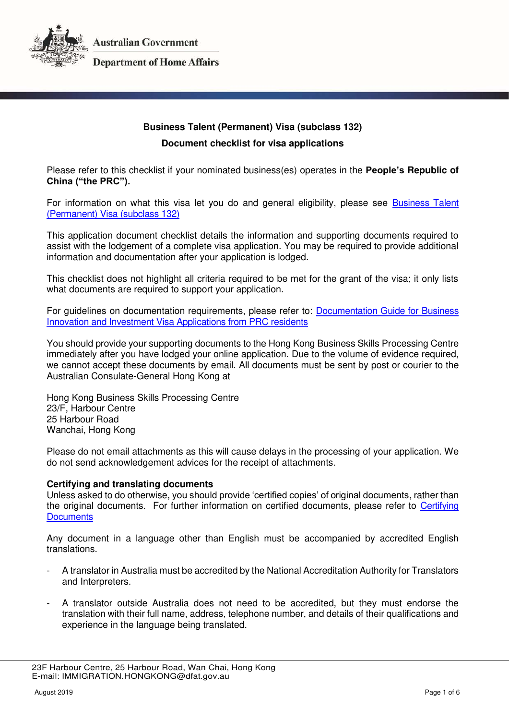

**Australian Government** 

**Department of Home Affairs** 

# **Business Talent (Permanent) Visa (subclass 132) Document checklist for visa applications**

Please refer to this checklist if your nominated business(es) operates in the **People's Republic of China ("the PRC").**

For information on what this visa let you do and general eligibility, please see [Business Talent](https://immi.homeaffairs.gov.au/visas/getting-a-visa/visa-listing/business-talent-permanent-132)  [\(Permanent\) Visa \(subclass 132\)](https://immi.homeaffairs.gov.au/visas/getting-a-visa/visa-listing/business-talent-permanent-132) 

This application document checklist details the information and supporting documents required to assist with the lodgement of a complete visa application. You may be required to provide additional information and documentation after your application is lodged.

This checklist does not highlight all criteria required to be met for the grant of the visa; it only lists what documents are required to support your application.

For guidelines on documentation requirements, please refer to: [Documentation Guide for Business](http://hongkong.china.embassy.gov.au/files/hkng/VISMG_BS_prc.pdf)  [Innovation and Investment Visa Applications from PRC residents](http://hongkong.china.embassy.gov.au/files/hkng/VISMG_BS_prc.pdf) 

You should provide your supporting documents to the Hong Kong Business Skills Processing Centre immediately after you have lodged your online application. Due to the volume of evidence required, we cannot accept these documents by email. All documents must be sent by post or courier to the Australian Consulate-General Hong Kong at

Hong Kong Business Skills Processing Centre 23/F, Harbour Centre 25 Harbour Road Wanchai, Hong Kong

Please do not email attachments as this will cause delays in the processing of your application. We do not send acknowledgement advices for the receipt of attachments.

#### **Certifying and translating documents**

Unless asked to do otherwise, you should provide 'certified copies' of original documents, rather than the original documents. For further information on certified documents, please refer to [Certifying](https://immi.homeaffairs.gov.au/help-support/applying-online-or-on-paper/on-paper/certified-copy)  **Documents** 

Any document in a language other than English must be accompanied by accredited English translations.

- A translator in Australia must be accredited by the National Accreditation Authority for Translators and Interpreters.
- A translator outside Australia does not need to be accredited, but they must endorse the translation with their full name, address, telephone number, and details of their qualifications and experience in the language being translated.

 <sup>23</sup>F Harbour Centre, 25 Harbour Road, Wan Chai, Hong Kong E-mail: IMMIGRATION.HONGKONG@dfat.gov.au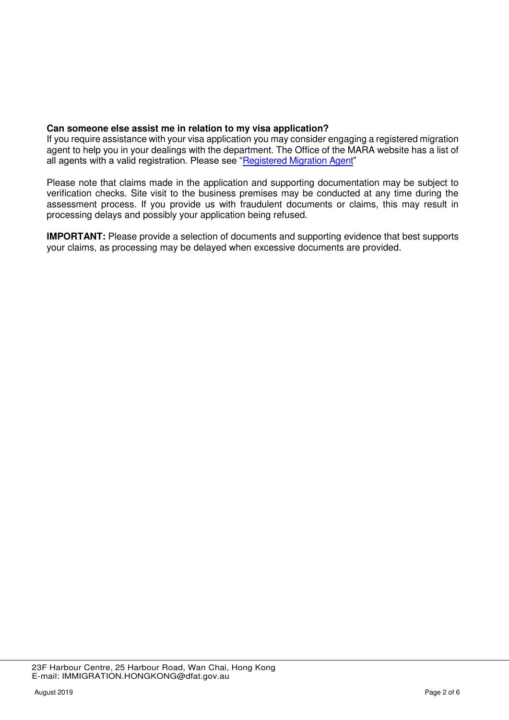# **Can someone else assist me in relation to my visa application?**

If you require assistance with your visa application you may consider engaging a registered migration agent to help you in your dealings with the department. The Office of the MARA website has a list of all agents with a valid registration. Please see "[Registered Migration Agent](https://www.mara.gov.au/)"

Please note that claims made in the application and supporting documentation may be subject to verification checks. Site visit to the business premises may be conducted at any time during the assessment process. If you provide us with fraudulent documents or claims, this may result in processing delays and possibly your application being refused.

**IMPORTANT:** Please provide a selection of documents and supporting evidence that best supports your claims, as processing may be delayed when excessive documents are provided.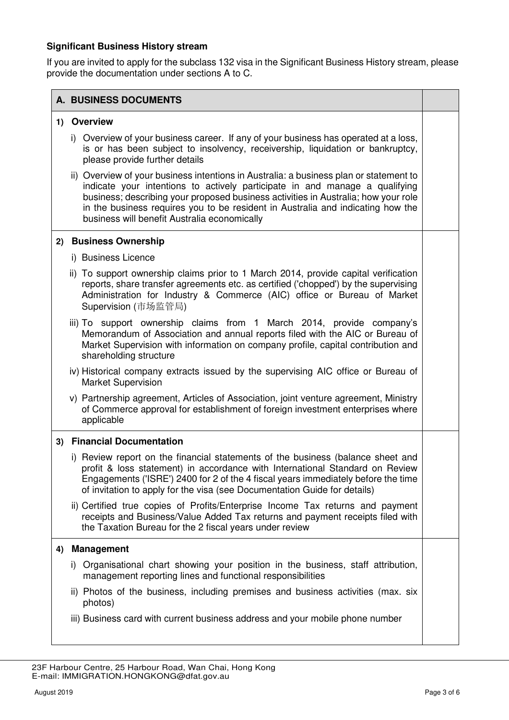# **Significant Business History stream**

If you are invited to apply for the subclass 132 visa in the Significant Business History stream, please provide the documentation under sections A to C.

|    | <b>A. BUSINESS DOCUMENTS</b> |                                                                                                                                                                                                                                                                                                                                                                                                |  |
|----|------------------------------|------------------------------------------------------------------------------------------------------------------------------------------------------------------------------------------------------------------------------------------------------------------------------------------------------------------------------------------------------------------------------------------------|--|
|    | 1) Overview                  |                                                                                                                                                                                                                                                                                                                                                                                                |  |
|    |                              | i) Overview of your business career. If any of your business has operated at a loss,<br>is or has been subject to insolvency, receivership, liquidation or bankruptcy,<br>please provide further details                                                                                                                                                                                       |  |
|    |                              | ii) Overview of your business intentions in Australia: a business plan or statement to<br>indicate your intentions to actively participate in and manage a qualifying<br>business; describing your proposed business activities in Australia; how your role<br>in the business requires you to be resident in Australia and indicating how the<br>business will benefit Australia economically |  |
| 2) |                              | <b>Business Ownership</b>                                                                                                                                                                                                                                                                                                                                                                      |  |
|    | i) Business Licence          |                                                                                                                                                                                                                                                                                                                                                                                                |  |
|    |                              | ii) To support ownership claims prior to 1 March 2014, provide capital verification<br>reports, share transfer agreements etc. as certified ('chopped') by the supervising<br>Administration for Industry & Commerce (AIC) office or Bureau of Market<br>Supervision (市场监管局)                                                                                                                   |  |
|    |                              | iii) To support ownership claims from 1 March 2014, provide company's<br>Memorandum of Association and annual reports filed with the AIC or Bureau of<br>Market Supervision with information on company profile, capital contribution and<br>shareholding structure                                                                                                                            |  |
|    | <b>Market Supervision</b>    | iv) Historical company extracts issued by the supervising AIC office or Bureau of                                                                                                                                                                                                                                                                                                              |  |
|    | applicable                   | v) Partnership agreement, Articles of Association, joint venture agreement, Ministry<br>of Commerce approval for establishment of foreign investment enterprises where                                                                                                                                                                                                                         |  |
|    |                              | 3) Financial Documentation                                                                                                                                                                                                                                                                                                                                                                     |  |
|    |                              | i) Review report on the financial statements of the business (balance sheet and<br>profit & loss statement) in accordance with International Standard on Review<br>Engagements ('ISRE') 2400 for 2 of the 4 fiscal years immediately before the time<br>of invitation to apply for the visa (see Documentation Guide for details)                                                              |  |
|    |                              | ii) Certified true copies of Profits/Enterprise Income Tax returns and payment<br>receipts and Business/Value Added Tax returns and payment receipts filed with<br>the Taxation Bureau for the 2 fiscal years under review                                                                                                                                                                     |  |
| 4) | <b>Management</b>            |                                                                                                                                                                                                                                                                                                                                                                                                |  |
|    |                              | i) Organisational chart showing your position in the business, staff attribution,<br>management reporting lines and functional responsibilities                                                                                                                                                                                                                                                |  |
|    | photos)                      | ii) Photos of the business, including premises and business activities (max. six                                                                                                                                                                                                                                                                                                               |  |
|    |                              | iii) Business card with current business address and your mobile phone number                                                                                                                                                                                                                                                                                                                  |  |

 <sup>23</sup>F Harbour Centre, 25 Harbour Road, Wan Chai, Hong Kong E-mail: IMMIGRATION.HONGKONG@dfat.gov.au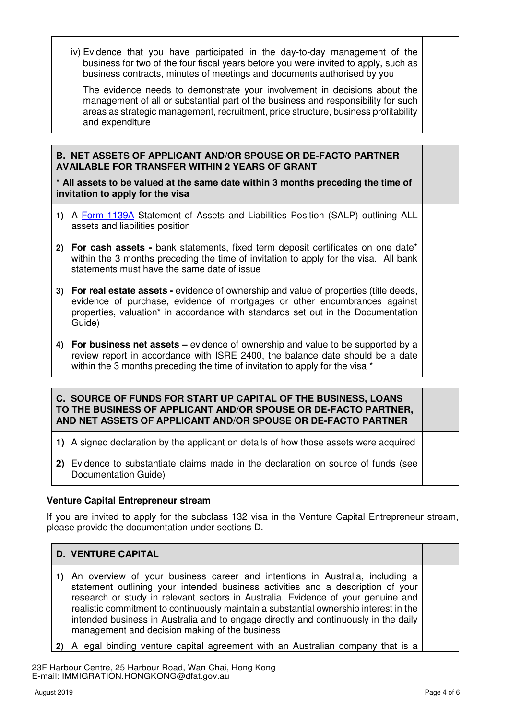iv) Evidence that you have participated in the day-to-day management of the business for two of the four fiscal years before you were invited to apply, such as business contracts, minutes of meetings and documents authorised by you

The evidence needs to demonstrate your involvement in decisions about the management of all or substantial part of the business and responsibility for such areas as strategic management, recruitment, price structure, business profitability and expenditure

# **B. NET ASSETS OF APPLICANT AND/OR SPOUSE OR DE-FACTO PARTNER AVAILABLE FOR TRANSFER WITHIN 2 YEARS OF GRANT**

**\* All assets to be valued at the same date within 3 months preceding the time of invitation to apply for the visa** 

- **1)** A [Form 1139A](https://immi.homeaffairs.gov.au/form-listing/forms/1139a.pdf) Statement of Assets and Liabilities Position (SALP) outlining ALL assets and liabilities position
- **2) For cash assets** bank statements, fixed term deposit certificates on one date\* within the 3 months preceding the time of invitation to apply for the visa. All bank statements must have the same date of issue
- **3) For real estate assets** evidence of ownership and value of properties (title deeds, evidence of purchase, evidence of mortgages or other encumbrances against properties, valuation\* in accordance with standards set out in the Documentation Guide)
- **4) For business net assets –** evidence of ownership and value to be supported by a review report in accordance with ISRE 2400, the balance date should be a date within the 3 months preceding the time of invitation to apply for the visa \*

# **C. SOURCE OF FUNDS FOR START UP CAPITAL OF THE BUSINESS, LOANS TO THE BUSINESS OF APPLICANT AND/OR SPOUSE OR DE-FACTO PARTNER, AND NET ASSETS OF APPLICANT AND/OR SPOUSE OR DE-FACTO PARTNER**

- **1)** A signed declaration by the applicant on details of how those assets were acquired
- **2)** Evidence to substantiate claims made in the declaration on source of funds (see Documentation Guide)

# **Venture Capital Entrepreneur stream**

If you are invited to apply for the subclass 132 visa in the Venture Capital Entrepreneur stream, please provide the documentation under sections D.

# **D. VENTURE CAPITAL**

- **1)** An overview of your business career and intentions in Australia, including a statement outlining your intended business activities and a description of your research or study in relevant sectors in Australia. Evidence of your genuine and realistic commitment to continuously maintain a substantial ownership interest in the intended business in Australia and to engage directly and continuously in the daily management and decision making of the business
- **2)** A legal binding venture capital agreement with an Australian company that is a

 <sup>23</sup>F Harbour Centre, 25 Harbour Road, Wan Chai, Hong Kong E-mail: IMMIGRATION.HONGKONG@dfat.gov.au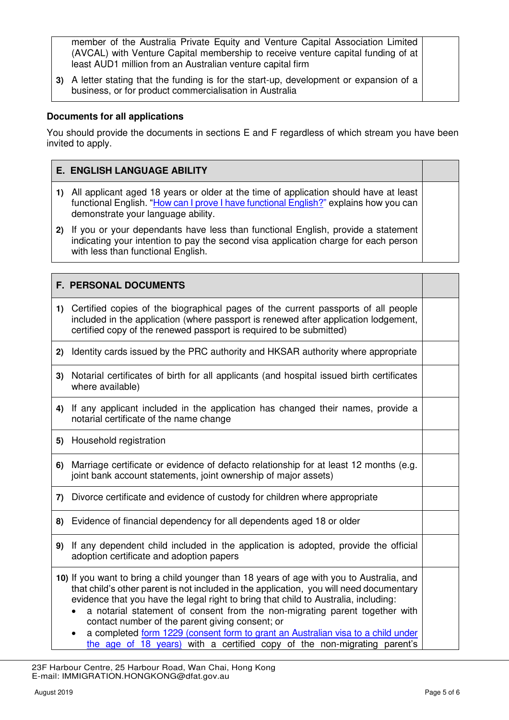member of the Australia Private Equity and Venture Capital Association Limited (AVCAL) with Venture Capital membership to receive venture capital funding of at least AUD1 million from an Australian venture capital firm

**3)** A letter stating that the funding is for the start-up, development or expansion of a business, or for product commercialisation in Australia

# **Documents for all applications**

You should provide the documents in sections E and F regardless of which stream you have been invited to apply.

# **E. ENGLISH LANGUAGE ABILITY**

- **1)** All applicant aged 18 years or older at the time of application should have at least functional English. "[How can I prove I have functional English?](https://immi.homeaffairs.gov.au/help-support/meeting-our-requirements/english-language/functional-english)" explains how you can demonstrate your language ability.
- **2)** If you or your dependants have less than functional English, provide a statement indicating your intention to pay the second visa application charge for each person with less than functional English.

# **F. PERSONAL DOCUMENTS**

- **1)** Certified copies of the biographical pages of the current passports of all people included in the application (where passport is renewed after application lodgement, certified copy of the renewed passport is required to be submitted)
- **2)** Identity cards issued by the PRC authority and HKSAR authority where appropriate
- **3)** Notarial certificates of birth for all applicants (and hospital issued birth certificates where available)
- **4)** If any applicant included in the application has changed their names, provide a notarial certificate of the name change
- **5)** Household registration
- **6)** Marriage certificate or evidence of defacto relationship for at least 12 months (e.g. joint bank account statements, joint ownership of major assets)
- **7)** Divorce certificate and evidence of custody for children where appropriate
- **8)** Evidence of financial dependency for all dependents aged 18 or older
- **9)** If any dependent child included in the application is adopted, provide the official adoption certificate and adoption papers
- **10)** If you want to bring a child younger than 18 years of age with you to Australia, and that child's other parent is not included in the application, you will need documentary evidence that you have the legal right to bring that child to Australia, including:
	- a notarial statement of consent from the non-migrating parent together with contact number of the parent giving consent; or
	- a completed [form 1229 \(consent form to grant an Australian visa to a child under](https://immi.homeaffairs.gov.au/form-listing/forms/1229.pdf)  [the age of 18 years\)](https://immi.homeaffairs.gov.au/form-listing/forms/1229.pdf) with a certified copy of the non-migrating parent's

 <sup>23</sup>F Harbour Centre, 25 Harbour Road, Wan Chai, Hong Kong E-mail: IMMIGRATION.HONGKONG@dfat.gov.au